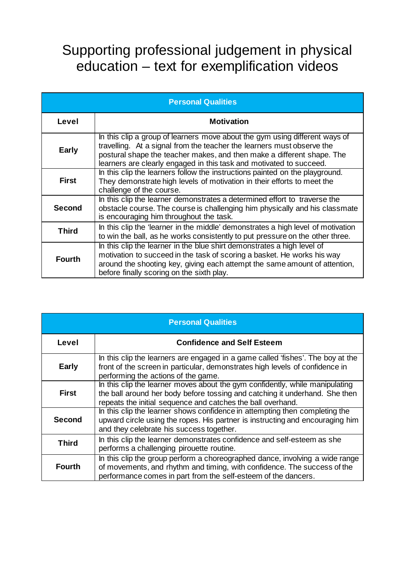## Supporting professional judgement in physical education – text for exemplification videos

| <b>Personal Qualities</b> |                                                                                                                                                                                                                                                                                                        |  |
|---------------------------|--------------------------------------------------------------------------------------------------------------------------------------------------------------------------------------------------------------------------------------------------------------------------------------------------------|--|
| Level                     | <b>Motivation</b>                                                                                                                                                                                                                                                                                      |  |
| <b>Early</b>              | In this clip a group of learners move about the gym using different ways of<br>travelling. At a signal from the teacher the learners must observe the<br>postural shape the teacher makes, and then make a different shape. The<br>learners are clearly engaged in this task and motivated to succeed. |  |
| <b>First</b>              | In this clip the learners follow the instructions painted on the playground.<br>They demonstrate high levels of motivation in their efforts to meet the<br>challenge of the course.                                                                                                                    |  |
| <b>Second</b>             | In this clip the learner demonstrates a determined effort to traverse the<br>obstacle course. The course is challenging him physically and his classmate<br>is encouraging him throughout the task.                                                                                                    |  |
| <b>Third</b>              | In this clip the 'learner in the middle' demonstrates a high level of motivation<br>to win the ball, as he works consistently to put pressure on the other three.                                                                                                                                      |  |
| <b>Fourth</b>             | In this clip the learner in the blue shirt demonstrates a high level of<br>motivation to succeed in the task of scoring a basket. He works his way<br>around the shooting key, giving each attempt the same amount of attention,<br>before finally scoring on the sixth play.                          |  |

| <b>Personal Qualities</b> |                                                                                                                                                                                                                            |  |
|---------------------------|----------------------------------------------------------------------------------------------------------------------------------------------------------------------------------------------------------------------------|--|
| Level                     | <b>Confidence and Self Esteem</b>                                                                                                                                                                                          |  |
| <b>Early</b>              | In this clip the learners are engaged in a game called 'fishes'. The boy at the<br>front of the screen in particular, demonstrates high levels of confidence in<br>performing the actions of the game.                     |  |
| <b>First</b>              | In this clip the learner moves about the gym confidently, while manipulating<br>the ball around her body before tossing and catching it underhand. She then<br>repeats the initial sequence and catches the ball overhand. |  |
| Second                    | In this clip the learner shows confidence in attempting then completing the<br>upward circle using the ropes. His partner is instructing and encouraging him<br>and they celebrate his success together.                   |  |
| <b>Third</b>              | In this clip the learner demonstrates confidence and self-esteem as she<br>performs a challenging pirouette routine.                                                                                                       |  |
| <b>Fourth</b>             | In this clip the group perform a choreographed dance, involving a wide range<br>of movements, and rhythm and timing, with confidence. The success of the<br>performance comes in part from the self-esteem of the dancers. |  |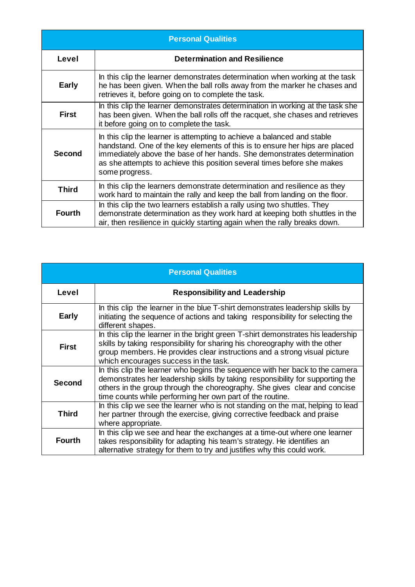| <b>Personal Qualities</b> |                                                                                                                                                                                                                                                                                                                                |  |
|---------------------------|--------------------------------------------------------------------------------------------------------------------------------------------------------------------------------------------------------------------------------------------------------------------------------------------------------------------------------|--|
| Level                     | <b>Determination and Resilience</b>                                                                                                                                                                                                                                                                                            |  |
| <b>Early</b>              | In this clip the learner demonstrates determination when working at the task<br>he has been given. When the ball rolls away from the marker he chases and<br>retrieves it, before going on to complete the task.                                                                                                               |  |
| <b>First</b>              | In this clip the learner demonstrates determination in working at the task she<br>has been given. When the ball rolls off the racquet, she chases and retrieves<br>it before going on to complete the task.                                                                                                                    |  |
| <b>Second</b>             | In this clip the learner is attempting to achieve a balanced and stable<br>handstand. One of the key elements of this is to ensure her hips are placed<br>immediately above the base of her hands. She demonstrates determination<br>as she attempts to achieve this position several times before she makes<br>some progress. |  |
| <b>Third</b>              | In this clip the learners demonstrate determination and resilience as they<br>work hard to maintain the rally and keep the ball from landing on the floor.                                                                                                                                                                     |  |
| <b>Fourth</b>             | In this clip the two learners establish a rally using two shuttles. They<br>demonstrate determination as they work hard at keeping both shuttles in the<br>air, then resilience in quickly starting again when the rally breaks down.                                                                                          |  |

| <b>Personal Qualities</b> |                                                                                                                                                                                                                                                                                                          |  |
|---------------------------|----------------------------------------------------------------------------------------------------------------------------------------------------------------------------------------------------------------------------------------------------------------------------------------------------------|--|
| Level                     | <b>Responsibility and Leadership</b>                                                                                                                                                                                                                                                                     |  |
| <b>Early</b>              | In this clip the learner in the blue T-shirt demonstrates leadership skills by<br>initiating the sequence of actions and taking responsibility for selecting the<br>different shapes.                                                                                                                    |  |
| <b>First</b>              | In this clip the learner in the bright green T-shirt demonstrates his leadership<br>skills by taking responsibility for sharing his choreography with the other<br>group members. He provides clear instructions and a strong visual picture<br>which encourages success in the task.                    |  |
| <b>Second</b>             | In this clip the learner who begins the sequence with her back to the camera<br>demonstrates her leadership skills by taking responsibility for supporting the<br>others in the group through the choreography. She gives clear and concise<br>time counts while performing her own part of the routine. |  |
| <b>Third</b>              | In this clip we see the learner who is not standing on the mat, helping to lead<br>her partner through the exercise, giving corrective feedback and praise<br>where appropriate.                                                                                                                         |  |
| <b>Fourth</b>             | In this clip we see and hear the exchanges at a time-out where one learner<br>takes responsibility for adapting his team's strategy. He identifies an<br>alternative strategy for them to try and justifies why this could work.                                                                         |  |